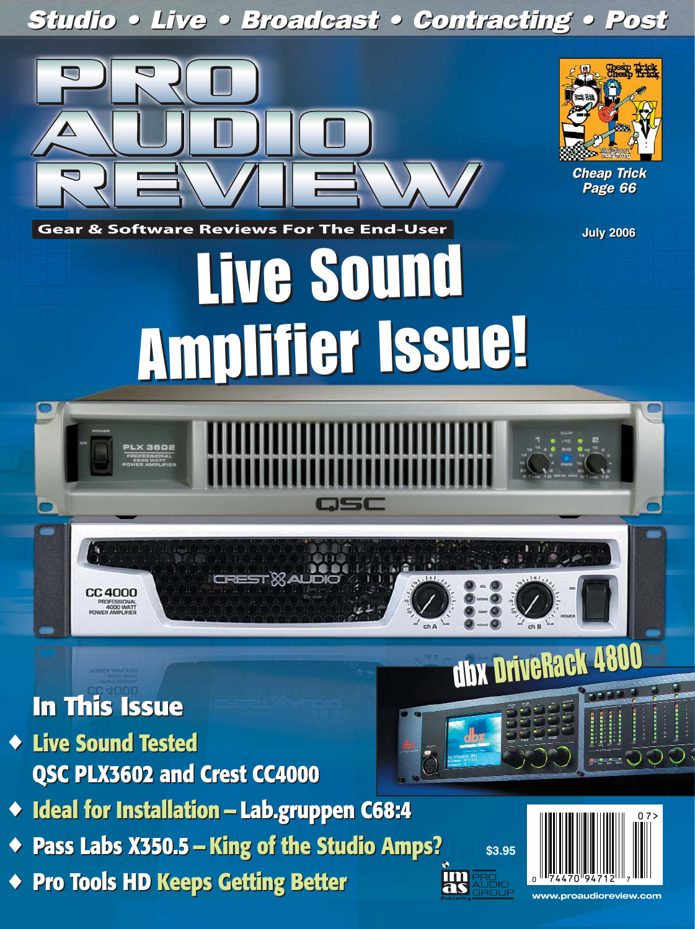# Studio • Live • Broadcast • Contracting • Post Studio • Live • Broadcast • Contracting • Post



# **In This Issue In This Issue**

- ◆ **Live Sound Tested** ◆ **Live Sound Tested QSC PLX3602 and Crest CC4000 QSC PLX3602 and Crest CC4000**
- ◆ **Ideal for Installation Lab.gruppen C68:4** ◆ **Ideal for Installation — Lab.gruppen C68:4**
- ◆ **Pass Labs X350.5 King of the Studio Amps?** ◆ **Pass Labs X350.5 King of the Studio Amps?**
- ◆ **Pro Tools HD Keeps Getting Better** ◆ **Pro Tools HD Keeps Getting Better**



 $-50$ 

**\$3.95**

**IM** 

**www.proaudioreview.com**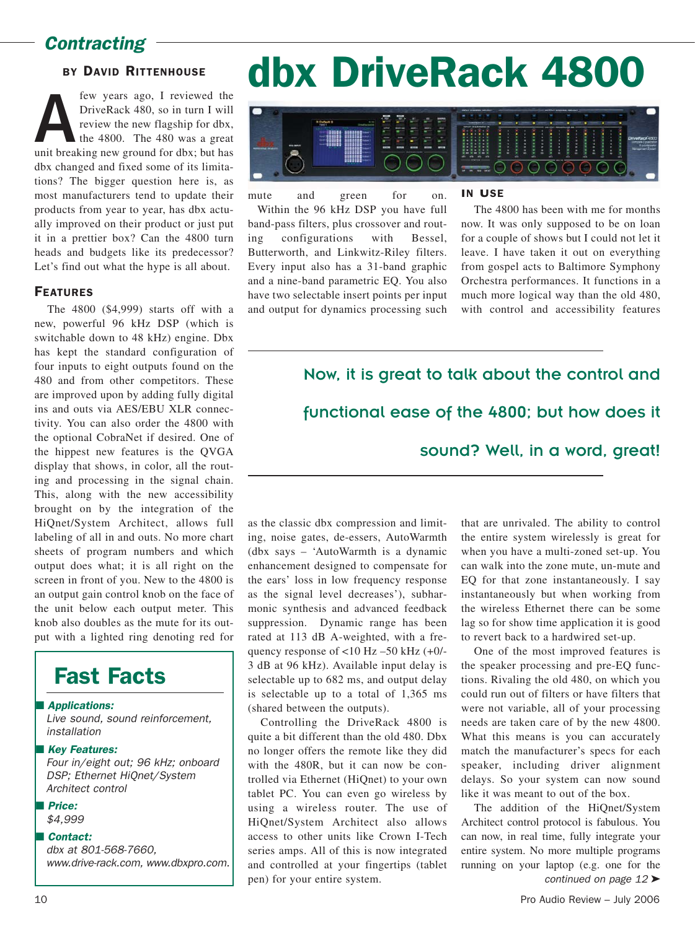## Contracting -

## BY DAVID RITTENHOUSE

**A**<br>**A** FriveRack 480, so in turn I will<br>review the new flagship for dbx,<br>the 4800. The 480 was a great<br>unit breaking new ground for dbx; but has DriveRack 480, so in turn I will review the new flagship for dbx, the 4800. The 480 was a great dbx changed and fixed some of its limitations? The bigger question here is, as most manufacturers tend to update their products from year to year, has dbx actually improved on their product or just put it in a prettier box? Can the 4800 turn heads and budgets like its predecessor? Let's find out what the hype is all about.

## FEATURES

The 4800 (\$4,999) starts off with a new, powerful 96 kHz DSP (which is switchable down to 48 kHz) engine. Dbx has kept the standard configuration of four inputs to eight outputs found on the 480 and from other competitors. These are improved upon by adding fully digital ins and outs via AES/EBU XLR connectivity. You can also order the 4800 with the optional CobraNet if desired. One of the hippest new features is the QVGA display that shows, in color, all the routing and processing in the signal chain. This, along with the new accessibility brought on by the integration of the HiQnet/System Architect, allows full labeling of all in and outs. No more chart sheets of program numbers and which output does what; it is all right on the screen in front of you. New to the 4800 is an output gain control knob on the face of the unit below each output meter. This knob also doubles as the mute for its output with a lighted ring denoting red for

## Fast Facts

■ Applications:

Live sound, sound reinforcement, installation

■ Key Features:

Four in/eight out; 96 kHz; onboard DSP; Ethernet HiQnet/System Architect control

- Price: \$4,999
- Contact:

dbx at 801-568-7660, www.drive-rack.com, www.dbxpro.com.

# dbx DriveRack 4800



mute and green for on. Within the 96 kHz DSP you have full band-pass filters, plus crossover and routing configurations with Bessel, Butterworth, and Linkwitz-Riley filters. Every input also has a 31-band graphic and a nine-band parametric EQ. You also have two selectable insert points per input and output for dynamics processing such

## IN USE

The 4800 has been with me for months now. It was only supposed to be on loan for a couple of shows but I could not let it leave. I have taken it out on everything from gospel acts to Baltimore Symphony Orchestra performances. It functions in a much more logical way than the old 480, with control and accessibility features

Now, it is great to talk about the control and functional ease of the 4800; but how does it sound? Well, in a word, great!

as the classic dbx compression and limiting, noise gates, de-essers, AutoWarmth (dbx says – 'AutoWarmth is a dynamic enhancement designed to compensate for the ears' loss in low frequency response as the signal level decreases'), subharmonic synthesis and advanced feedback suppression. Dynamic range has been rated at 113 dB A-weighted, with a frequency response of  $<$ 10 Hz –50 kHz (+0/-3 dB at 96 kHz). Available input delay is selectable up to 682 ms, and output delay is selectable up to a total of 1,365 ms (shared between the outputs).

Controlling the DriveRack 4800 is quite a bit different than the old 480. Dbx no longer offers the remote like they did with the 480R, but it can now be controlled via Ethernet (HiQnet) to your own tablet PC. You can even go wireless by using a wireless router. The use of HiQnet/System Architect also allows access to other units like Crown I-Tech series amps. All of this is now integrated and controlled at your fingertips (tablet pen) for your entire system.

that are unrivaled. The ability to control the entire system wirelessly is great for when you have a multi-zoned set-up. You can walk into the zone mute, un-mute and EQ for that zone instantaneously. I say instantaneously but when working from the wireless Ethernet there can be some lag so for show time application it is good to revert back to a hardwired set-up.

One of the most improved features is the speaker processing and pre-EQ functions. Rivaling the old 480, on which you could run out of filters or have filters that were not variable, all of your processing needs are taken care of by the new 4800. What this means is you can accurately match the manufacturer's specs for each speaker, including driver alignment delays. So your system can now sound like it was meant to out of the box.

The addition of the HiQnet/System Architect control protocol is fabulous. You can now, in real time, fully integrate your entire system. No more multiple programs running on your laptop (e.g. one for the continued on page 12 ➤